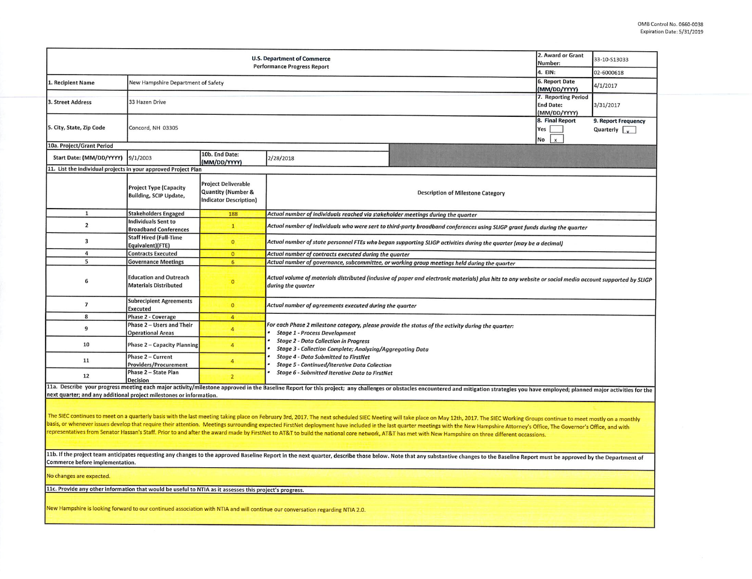|                                                                                                                                                                                                                                                                                                                                                                                                                                                                                                                                                                                                                                                                                                                                                                                                                                                                                                            | 2. Award or Grant<br>Number:<br>4. EIN:                        | 33-10-S13033<br>02-6000618                                                                   |                                                                                                                                                                                                                                                                                                                                                                |                                             |  |  |  |  |  |  |
|------------------------------------------------------------------------------------------------------------------------------------------------------------------------------------------------------------------------------------------------------------------------------------------------------------------------------------------------------------------------------------------------------------------------------------------------------------------------------------------------------------------------------------------------------------------------------------------------------------------------------------------------------------------------------------------------------------------------------------------------------------------------------------------------------------------------------------------------------------------------------------------------------------|----------------------------------------------------------------|----------------------------------------------------------------------------------------------|----------------------------------------------------------------------------------------------------------------------------------------------------------------------------------------------------------------------------------------------------------------------------------------------------------------------------------------------------------------|---------------------------------------------|--|--|--|--|--|--|
| 1. Recipient Name                                                                                                                                                                                                                                                                                                                                                                                                                                                                                                                                                                                                                                                                                                                                                                                                                                                                                          | New Hampshire Department of Safety                             | <b>6. Report Date</b><br>(MM/DD/YYYY)                                                        | 4/1/2017                                                                                                                                                                                                                                                                                                                                                       |                                             |  |  |  |  |  |  |
| 3. Street Address                                                                                                                                                                                                                                                                                                                                                                                                                                                                                                                                                                                                                                                                                                                                                                                                                                                                                          | 33 Hazen Drive                                                 |                                                                                              | 7. Reporting Period<br><b>End Date:</b><br>(MM/DD/YYYY)                                                                                                                                                                                                                                                                                                        | 3/31/2017                                   |  |  |  |  |  |  |
| 5. City, State, Zip Code                                                                                                                                                                                                                                                                                                                                                                                                                                                                                                                                                                                                                                                                                                                                                                                                                                                                                   | Concord, NH 03305                                              |                                                                                              | 8. Final Report<br>Yes<br>No<br>$\mathbf{x}$                                                                                                                                                                                                                                                                                                                   | 9. Report Frequency<br>Quarterly $\sqrt{ }$ |  |  |  |  |  |  |
| 10a. Project/Grant Period                                                                                                                                                                                                                                                                                                                                                                                                                                                                                                                                                                                                                                                                                                                                                                                                                                                                                  |                                                                |                                                                                              |                                                                                                                                                                                                                                                                                                                                                                |                                             |  |  |  |  |  |  |
| Start Date: (MM/DD/YYYY)                                                                                                                                                                                                                                                                                                                                                                                                                                                                                                                                                                                                                                                                                                                                                                                                                                                                                   | 9/1/2003                                                       | 10b. End Date:<br>(MM/DD/YYYY)                                                               | 2/28/2018                                                                                                                                                                                                                                                                                                                                                      |                                             |  |  |  |  |  |  |
| 11. List the individual projects in your approved Project Plan                                                                                                                                                                                                                                                                                                                                                                                                                                                                                                                                                                                                                                                                                                                                                                                                                                             |                                                                |                                                                                              |                                                                                                                                                                                                                                                                                                                                                                |                                             |  |  |  |  |  |  |
|                                                                                                                                                                                                                                                                                                                                                                                                                                                                                                                                                                                                                                                                                                                                                                                                                                                                                                            | <b>Project Type (Capacity</b><br><b>Building, SCIP Update,</b> | <b>Project Deliverable</b><br><b>Quantity (Number &amp;</b><br><b>Indicator Description)</b> | <b>Description of Milestone Category</b>                                                                                                                                                                                                                                                                                                                       |                                             |  |  |  |  |  |  |
| 1                                                                                                                                                                                                                                                                                                                                                                                                                                                                                                                                                                                                                                                                                                                                                                                                                                                                                                          | <b>Stakeholders Engaged</b>                                    | 188                                                                                          | Actual number of individuals reached via stakeholder meetings during the quarter                                                                                                                                                                                                                                                                               |                                             |  |  |  |  |  |  |
| $\overline{2}$                                                                                                                                                                                                                                                                                                                                                                                                                                                                                                                                                                                                                                                                                                                                                                                                                                                                                             | Individuals Sent to<br><b>Broadband Conferences</b>            | $\mathbf{1}$                                                                                 | Actual number of individuals who were sent to third-party broadband conferences using SLIGP grant funds during the quarter                                                                                                                                                                                                                                     |                                             |  |  |  |  |  |  |
| $\overline{\mathbf{3}}$                                                                                                                                                                                                                                                                                                                                                                                                                                                                                                                                                                                                                                                                                                                                                                                                                                                                                    | Staff Hired (Full-Time<br>Equivalent)(FTE)                     | $\mathbf{0}$                                                                                 | Actual number of state personnel FTEs who began supporting SLIGP activities during the quarter (may be a decimal)                                                                                                                                                                                                                                              |                                             |  |  |  |  |  |  |
| $\overline{a}$                                                                                                                                                                                                                                                                                                                                                                                                                                                                                                                                                                                                                                                                                                                                                                                                                                                                                             | <b>Contracts Executed</b>                                      | $\overline{0}$                                                                               | Actual number of contracts executed during the quarter                                                                                                                                                                                                                                                                                                         |                                             |  |  |  |  |  |  |
| 5                                                                                                                                                                                                                                                                                                                                                                                                                                                                                                                                                                                                                                                                                                                                                                                                                                                                                                          | <b>Governance Meetings</b>                                     | 6                                                                                            | Actual number of governance, subcommittee, or working group meetings held during the quarter                                                                                                                                                                                                                                                                   |                                             |  |  |  |  |  |  |
| 6                                                                                                                                                                                                                                                                                                                                                                                                                                                                                                                                                                                                                                                                                                                                                                                                                                                                                                          | <b>Education and Outreach</b><br><b>Materials Distributed</b>  | $\mathbf{O}$                                                                                 | Actual volume of materials distributed (inclusive of paper and electronic materials) plus hits to any website or social media account supported by SLIGP<br>during the quarter                                                                                                                                                                                 |                                             |  |  |  |  |  |  |
| $\overline{7}$                                                                                                                                                                                                                                                                                                                                                                                                                                                                                                                                                                                                                                                                                                                                                                                                                                                                                             | <b>Subrecipient Agreements</b><br>Executed                     | $\mathbf{0}$                                                                                 | Actual number of agreements executed during the quarter                                                                                                                                                                                                                                                                                                        |                                             |  |  |  |  |  |  |
| 8                                                                                                                                                                                                                                                                                                                                                                                                                                                                                                                                                                                                                                                                                                                                                                                                                                                                                                          | <b>Phase 2 - Coverage</b>                                      | $\overline{4}$                                                                               |                                                                                                                                                                                                                                                                                                                                                                |                                             |  |  |  |  |  |  |
| $\overline{9}$                                                                                                                                                                                                                                                                                                                                                                                                                                                                                                                                                                                                                                                                                                                                                                                                                                                                                             | Phase 2 - Users and Their<br><b>Operational Areas</b>          | $\overline{4}$                                                                               | For each Phase 2 milestone category, please provide the status of the activity during the quarter:<br><b>Stage 1 - Process Development</b><br><b>Stage 2 - Data Collection in Progress</b><br>Stage 3 - Collection Complete; Analyzing/Aggregating Data<br><b>Stage 4 - Data Submitted to FirstNet</b><br><b>Stage 5 - Continued/Iterative Data Collection</b> |                                             |  |  |  |  |  |  |
| 10                                                                                                                                                                                                                                                                                                                                                                                                                                                                                                                                                                                                                                                                                                                                                                                                                                                                                                         | Phase 2 - Capacity Planning                                    | $\overline{4}$                                                                               |                                                                                                                                                                                                                                                                                                                                                                |                                             |  |  |  |  |  |  |
| 11                                                                                                                                                                                                                                                                                                                                                                                                                                                                                                                                                                                                                                                                                                                                                                                                                                                                                                         | Phase 2 - Current<br><b>Providers/Procurement</b>              | $\overline{4}$                                                                               |                                                                                                                                                                                                                                                                                                                                                                |                                             |  |  |  |  |  |  |
| 12                                                                                                                                                                                                                                                                                                                                                                                                                                                                                                                                                                                                                                                                                                                                                                                                                                                                                                         | Phase 2 - State Plan<br><b>Decision</b>                        | $\overline{2}$                                                                               | Stage 6 - Submitted Iterative Data to FirstNet                                                                                                                                                                                                                                                                                                                 |                                             |  |  |  |  |  |  |
| next quarter; and any additional project milestones or information.                                                                                                                                                                                                                                                                                                                                                                                                                                                                                                                                                                                                                                                                                                                                                                                                                                        |                                                                |                                                                                              | 11a. Describe your progress meeting each major activity/milestone approved in the Baseline Report for this project; any challenges or obstacles encountered and mitigation strategies you have employed; planned major activit                                                                                                                                 |                                             |  |  |  |  |  |  |
| The SIEC continues to meet on a quarterly basis with the last meeting taking place on February 3rd, 2017. The next scheduled SIEC Meeting will take place on May 12th, 2017. The SIEC Working Groups continue to meet mostly o<br>basis, or whenever issues develop that require their attention. Meetings surrounding expected FirstNet deployment have included in the last quarter meetings with the New Hampshire Attorney's Office, The Governor's Office,<br>representatives from Senator Hassan's Staff. Prior to and after the award made by FirstNet to AT&T to build the national core network, AT&T has met with New Hampshire on three different occassions.<br>11b. If the project team anticipates requesting any changes to the approved Baseline Report in the next quarter, describe those below. Note that any substantive changes to the Baseline Report must be approved by the Depart |                                                                |                                                                                              |                                                                                                                                                                                                                                                                                                                                                                |                                             |  |  |  |  |  |  |
| Commerce before implementation.                                                                                                                                                                                                                                                                                                                                                                                                                                                                                                                                                                                                                                                                                                                                                                                                                                                                            |                                                                |                                                                                              |                                                                                                                                                                                                                                                                                                                                                                |                                             |  |  |  |  |  |  |
| No changes are expected.                                                                                                                                                                                                                                                                                                                                                                                                                                                                                                                                                                                                                                                                                                                                                                                                                                                                                   |                                                                |                                                                                              |                                                                                                                                                                                                                                                                                                                                                                |                                             |  |  |  |  |  |  |
| 11c. Provide any other information that would be useful to NTIA as it assesses this project's progress.                                                                                                                                                                                                                                                                                                                                                                                                                                                                                                                                                                                                                                                                                                                                                                                                    |                                                                |                                                                                              |                                                                                                                                                                                                                                                                                                                                                                |                                             |  |  |  |  |  |  |
| New Hampshire is looking forward to our continued association with NTIA and will continue our conversation regarding NTIA 2.0.                                                                                                                                                                                                                                                                                                                                                                                                                                                                                                                                                                                                                                                                                                                                                                             |                                                                |                                                                                              |                                                                                                                                                                                                                                                                                                                                                                |                                             |  |  |  |  |  |  |
|                                                                                                                                                                                                                                                                                                                                                                                                                                                                                                                                                                                                                                                                                                                                                                                                                                                                                                            |                                                                |                                                                                              |                                                                                                                                                                                                                                                                                                                                                                |                                             |  |  |  |  |  |  |